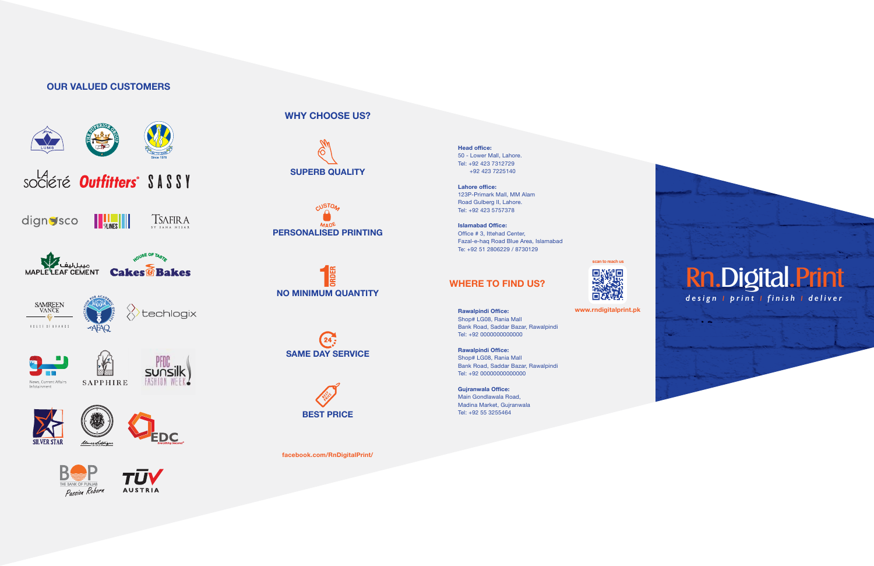# **OUR VALUED CUSTOMERS**





AFAQ

techlogix



– Sr – 











#### **Head office:** 50 - Lower Mall, Lahore. Tel: +92 423 7312729 +92 423 7225140

**Lahore office:** 123P-Primark Mall, MM Alam Road Gulberg II, Lahore. Tel: +92 423 5757378

**Islamabad Office:** Office # 3, Ittehad Center, Fazal-e-haq Road Blue Area, Islamabad Te: +92 51 2806229 / 8730129

**Rawalpindi Office:** Shop# LG08, Rania Mall Bank Road, Saddar Bazar, Rawalpindi Tel: +92 0000000000000

**Rawalpindi Office:** Shop# LG08, Rania Mall Bank Road, Saddar Bazar, Rawalpindi Tel: +92 00000000000000

**Gujranwala Office:** Main Gondlawala Road, Madina Market, Gujranwala Tel: +92 55 3255464



# **WHERE TO FIND US?**



**WHY CHOOSE US?**











**facebook.com/RnDigitalPrint/**

**www.rndigitalprint.pk**